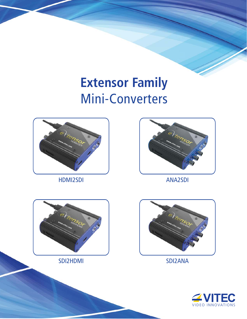# **Extensor Family** Mini-Converters



HDMI2SDI ANA2SDI





SDI2HDMI SDI2ANA



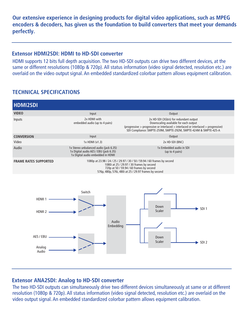**Our extensive experience in designing products for digital video applications, such as MPEG encoders & decoders, has given us the foundation to build converters that meet your demands perfectly.**

### **Extensor HDMI2SDI: HDMI to HD-SDI converter**

HDMI supports 12 bits full depth acquisition. The two HD-SDI outputs can drive two different devices, at the same or different resolutions (1080p & 720p). All status information (video signal detected, resolution etc.) are overlaid on the video output signal. An embedded standardized colorbar pattern allows equipment calibration.

# **TECHNICAL SPECIFICATIONS**



## **Extensor ANA2SDI: Analog to HD-SDI converter**

The two HD-SDI outputs can simultaneously drive two different devices simultaneously at same or at different resolution (1080p & 720p). All status information (video signal detected, resolution etc.) are overlaid on the video output signal. An embedded standardized colorbar pattern allows equipment calibration.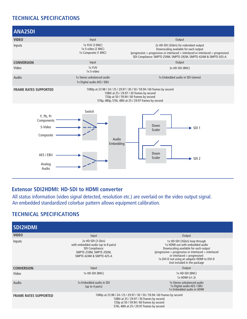# **TECHNICAL SPECIFICATIONS**



## **Extensor SDI2HDMI: HD-SDI to HDMI converter**

All status information (video signal detected, resolution etc.) are overlaid on the video output signal. An embedded standardized colorbar pattern allows equipment calibration.

## **TECHNICAL SPECIFICATIONS**

| <b>SDI2HDMI</b>              |                                                                                                                                                                                                                |                                                                                                                                                                                                                                                                                      |
|------------------------------|----------------------------------------------------------------------------------------------------------------------------------------------------------------------------------------------------------------|--------------------------------------------------------------------------------------------------------------------------------------------------------------------------------------------------------------------------------------------------------------------------------------|
| <b>VIDEO</b>                 | Input                                                                                                                                                                                                          | Output                                                                                                                                                                                                                                                                               |
| Inputs                       | $2x$ HD-SDI $(3$ Gb/s)<br>with embedded audio (up to 8 pairs)<br>SDI Compliance:<br>SMPTE-259M, SMPTE-292M,<br>SMPTE-424M & SMPTE-425-A                                                                        | 1x HD-SDI (3Gb/s) loop through<br>1x HDMI out with embedded audio<br>Downscaling available for each output<br>(progressive > progressive or interlaced > interlaced<br>or interlaced $>$ progressive)<br>1x DVI-D out using an adaptor HDMI to DVI-D<br>(not included in the package |
| <b>CONVERSION</b>            | Input                                                                                                                                                                                                          | Output                                                                                                                                                                                                                                                                               |
| Video                        | 1x HD-SDI (BNC)                                                                                                                                                                                                | 1x HD-SDI (BNC)<br>1x HDMI (v1.3)                                                                                                                                                                                                                                                    |
| Audio                        | 1x Embedded audio in SDI<br>(up to 4 pairs)                                                                                                                                                                    | 1x Stereo unbalanced audio<br>1x Digital audio AES / EBU<br>1x Embedded audio in HDMI                                                                                                                                                                                                |
| <b>FRAME RATES SUPPORTED</b> | 1080p at 23.98 / 24 / 25 / 29.97 / 30 / 50 / 59.94 / 60 frames by second<br>1080i at 25 / 29.97 / 30 frames by second<br>720p at 50 / 59.94 / 60 frames by second<br>576i, 480i at 25 / 29.97 frames by second |                                                                                                                                                                                                                                                                                      |
|                              |                                                                                                                                                                                                                |                                                                                                                                                                                                                                                                                      |